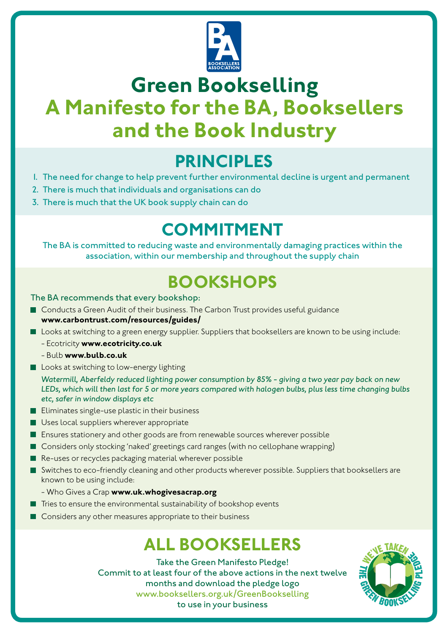

# **Green Bookselling A Manifesto for the BA, Booksellers and the Book Industry**

## **PRINCIPLES**

- 1. The need for change to help prevent further environmental decline is urgent and permanent
- 2. There is much that individuals and organisations can do
- 3. There is much that the UK book supply chain can do

# **COMMITMENT**

The BA is committed to reducing waste and environmentally damaging practices within the association, within our membership and throughout the supply chain

# **BOOKSHOPS**

### The BA recommends that every bookshop:

- Conducts a Green Audit of their business. The Carbon Trust provides useful guidance **www.carbontrust.com/resources/guides/**
- **Looks at switching to a green energy supplier. Suppliers that booksellers are known to be using include:** 
	- Ecotricity **www.ecotricity.co.uk**
	- Bulb **www.bulb.co.uk**
- **Looks at switching to low-energy lighting**

*Watermill, Aberfeldy reduced lighting power consumption by 85% - giving a two year pay back on new LEDs, which will then last for 5 or more years compared with halogen bulbs, plus less time changing bulbs etc, safer in window displays etc* 

- $\blacksquare$  Eliminates single-use plastic in their business
- **Uses local suppliers wherever appropriate**
- **E** Ensures stationery and other goods are from renewable sources wherever possible
- Considers only stocking 'naked' greetings card ranges (with no cellophane wrapping)
- Re-uses or recycles packaging material wherever possible
- Switches to eco-friendly cleaning and other products wherever possible. Suppliers that booksellers are known to be using include:
	- Who Gives a Crap **www.uk.whogivesacrap.org**
- $\blacksquare$  Tries to ensure the environmental sustainability of bookshop events
- Considers any other measures appropriate to their business

## **ALL BOOKSELLERS**

Take the Green Manifesto Pledge! Commit to at least four of the above actions in the next twelve months and download the pledge logo www.booksellers.org.uk/GreenBookselling to use in your business